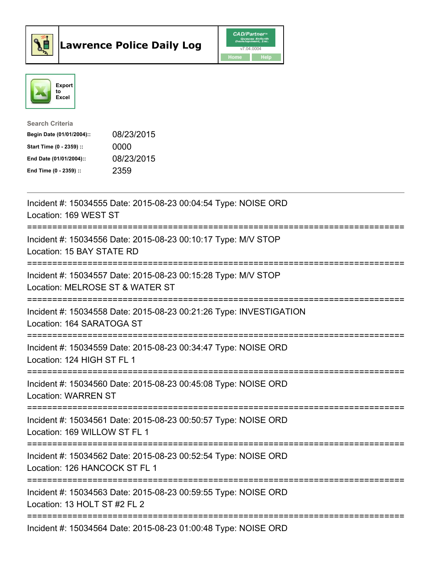



| <b>Search Criteria</b>    |            |
|---------------------------|------------|
| Begin Date (01/01/2004):: | 08/23/2015 |
| Start Time (0 - 2359) ::  | 0000       |
| End Date (01/01/2004)::   | 08/23/2015 |
| End Time $(0 - 2359)$ :   | 2359       |

| Incident #: 15034555 Date: 2015-08-23 00:04:54 Type: NOISE ORD<br>Location: 169 WEST ST                                 |
|-------------------------------------------------------------------------------------------------------------------------|
| Incident #: 15034556 Date: 2015-08-23 00:10:17 Type: M/V STOP<br>Location: 15 BAY STATE RD                              |
| Incident #: 15034557 Date: 2015-08-23 00:15:28 Type: M/V STOP<br>Location: MELROSE ST & WATER ST                        |
| Incident #: 15034558 Date: 2015-08-23 00:21:26 Type: INVESTIGATION<br>Location: 164 SARATOGA ST                         |
| Incident #: 15034559 Date: 2015-08-23 00:34:47 Type: NOISE ORD<br>Location: 124 HIGH ST FL 1                            |
| Incident #: 15034560 Date: 2015-08-23 00:45:08 Type: NOISE ORD<br><b>Location: WARREN ST</b><br>----------------------- |
| Incident #: 15034561 Date: 2015-08-23 00:50:57 Type: NOISE ORD<br>Location: 169 WILLOW ST FL 1                          |
| Incident #: 15034562 Date: 2015-08-23 00:52:54 Type: NOISE ORD<br>Location: 126 HANCOCK ST FL 1                         |
| Incident #: 15034563 Date: 2015-08-23 00:59:55 Type: NOISE ORD<br>Location: 13 HOLT ST #2 FL 2                          |
| Incident #: 15034564 Date: 2015-08-23 01:00:48 Type: NOISE ORD                                                          |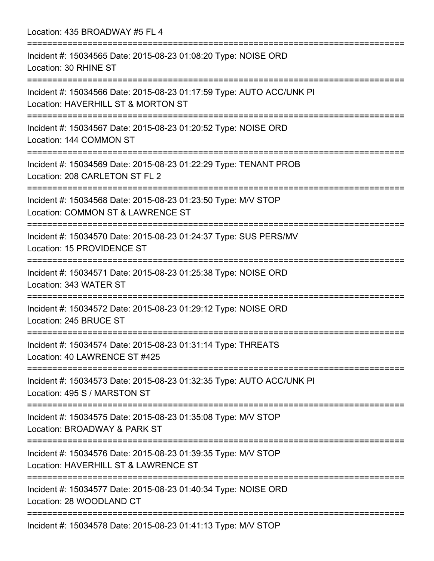Location: 435 BROADWAY #5 FL 4

=========================================================================== Incident #: 15034565 Date: 2015-08-23 01:08:20 Type: NOISE ORD Location: 30 RHINE ST =========================================================================== Incident #: 15034566 Date: 2015-08-23 01:17:59 Type: AUTO ACC/UNK PI Location: HAVERHILL ST & MORTON ST =========================================================================== Incident #: 15034567 Date: 2015-08-23 01:20:52 Type: NOISE ORD Location: 144 COMMON ST =========================================================================== Incident #: 15034569 Date: 2015-08-23 01:22:29 Type: TENANT PROB Location: 208 CARLETON ST FL 2 =========================================================================== Incident #: 15034568 Date: 2015-08-23 01:23:50 Type: M/V STOP Location: COMMON ST & LAWRENCE ST =========================================================================== Incident #: 15034570 Date: 2015-08-23 01:24:37 Type: SUS PERS/MV Location: 15 PROVIDENCE ST =========================================================================== Incident #: 15034571 Date: 2015-08-23 01:25:38 Type: NOISE ORD Location: 343 WATER ST =========================================================================== Incident #: 15034572 Date: 2015-08-23 01:29:12 Type: NOISE ORD Location: 245 BRUCE ST =========================================================================== Incident #: 15034574 Date: 2015-08-23 01:31:14 Type: THREATS Location: 40 LAWRENCE ST #425 =========================================================================== Incident #: 15034573 Date: 2015-08-23 01:32:35 Type: AUTO ACC/UNK PI Location: 495 S / MARSTON ST =========================================================================== Incident #: 15034575 Date: 2015-08-23 01:35:08 Type: M/V STOP Location: BROADWAY & PARK ST =========================================================================== Incident #: 15034576 Date: 2015-08-23 01:39:35 Type: M/V STOP Location: HAVERHILL ST & LAWRENCE ST =========================================================================== Incident #: 15034577 Date: 2015-08-23 01:40:34 Type: NOISE ORD Location: 28 WOODLAND CT =========================================================================== Incident #: 15034578 Date: 2015-08-23 01:41:13 Type: M/V STOP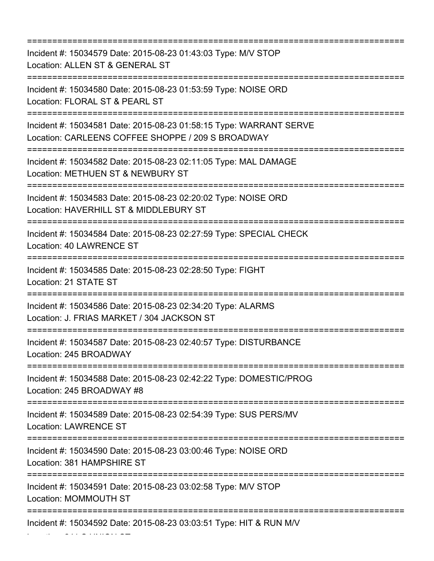=========================================================================== Incident #: 15034579 Date: 2015-08-23 01:43:03 Type: M/V STOP Location: ALLEN ST & GENERAL ST =========================================================================== Incident #: 15034580 Date: 2015-08-23 01:53:59 Type: NOISE ORD Location: FLORAL ST & PEARL ST =========================================================================== Incident #: 15034581 Date: 2015-08-23 01:58:15 Type: WARRANT SERVE Location: CARLEENS COFFEE SHOPPE / 209 S BROADWAY =========================================================================== Incident #: 15034582 Date: 2015-08-23 02:11:05 Type: MAL DAMAGE Location: METHUEN ST & NEWBURY ST =========================================================================== Incident #: 15034583 Date: 2015-08-23 02:20:02 Type: NOISE ORD Location: HAVERHILL ST & MIDDLEBURY ST =========================================================================== Incident #: 15034584 Date: 2015-08-23 02:27:59 Type: SPECIAL CHECK Location: 40 LAWRENCE ST =========================================================================== Incident #: 15034585 Date: 2015-08-23 02:28:50 Type: FIGHT Location: 21 STATE ST =========================================================================== Incident #: 15034586 Date: 2015-08-23 02:34:20 Type: ALARMS Location: J. FRIAS MARKET / 304 JACKSON ST =========================================================================== Incident #: 15034587 Date: 2015-08-23 02:40:57 Type: DISTURBANCE Location: 245 BROADWAY =========================================================================== Incident #: 15034588 Date: 2015-08-23 02:42:22 Type: DOMESTIC/PROG Location: 245 BROADWAY #8 =========================================================================== Incident #: 15034589 Date: 2015-08-23 02:54:39 Type: SUS PERS/MV Location: LAWRENCE ST =========================================================================== Incident #: 15034590 Date: 2015-08-23 03:00:46 Type: NOISE ORD Location: 381 HAMPSHIRE ST =========================================================================== Incident #: 15034591 Date: 2015-08-23 03:02:58 Type: M/V STOP Location: MOMMOUTH ST =========================================================================== Incident #: 15034592 Date: 2015-08-23 03:03:51 Type: HIT & RUN M/V

Location: 241 S UNION ST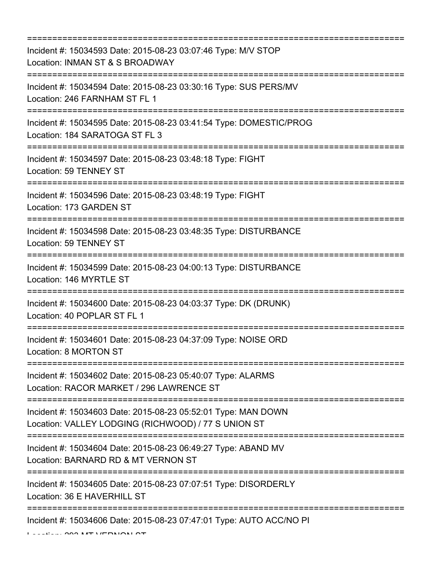=========================================================================== Incident #: 15034593 Date: 2015-08-23 03:07:46 Type: M/V STOP Location: INMAN ST & S BROADWAY =========================================================================== Incident #: 15034594 Date: 2015-08-23 03:30:16 Type: SUS PERS/MV Location: 246 FARNHAM ST FL 1 =========================================================================== Incident #: 15034595 Date: 2015-08-23 03:41:54 Type: DOMESTIC/PROG Location: 184 SARATOGA ST FL 3 =========================================================================== Incident #: 15034597 Date: 2015-08-23 03:48:18 Type: FIGHT Location: 59 TENNEY ST =========================================================================== Incident #: 15034596 Date: 2015-08-23 03:48:19 Type: FIGHT Location: 173 GARDEN ST =========================================================================== Incident #: 15034598 Date: 2015-08-23 03:48:35 Type: DISTURBANCE Location: 59 TENNEY ST =========================================================================== Incident #: 15034599 Date: 2015-08-23 04:00:13 Type: DISTURBANCE Location: 146 MYRTLE ST =========================================================================== Incident #: 15034600 Date: 2015-08-23 04:03:37 Type: DK (DRUNK) Location: 40 POPLAR ST FL 1 =========================================================================== Incident #: 15034601 Date: 2015-08-23 04:37:09 Type: NOISE ORD Location: 8 MORTON ST =========================================================================== Incident #: 15034602 Date: 2015-08-23 05:40:07 Type: ALARMS Location: RACOR MARKET / 296 LAWRENCE ST =========================================================================== Incident #: 15034603 Date: 2015-08-23 05:52:01 Type: MAN DOWN Location: VALLEY LODGING (RICHWOOD) / 77 S UNION ST =========================================================================== Incident #: 15034604 Date: 2015-08-23 06:49:27 Type: ABAND MV Location: BARNARD RD & MT VERNON ST =========================================================================== Incident #: 15034605 Date: 2015-08-23 07:07:51 Type: DISORDERLY Location: 36 E HAVERHILL ST =========================================================================== Incident #: 15034606 Date: 2015-08-23 07:47:01 Type: AUTO ACC/NO PI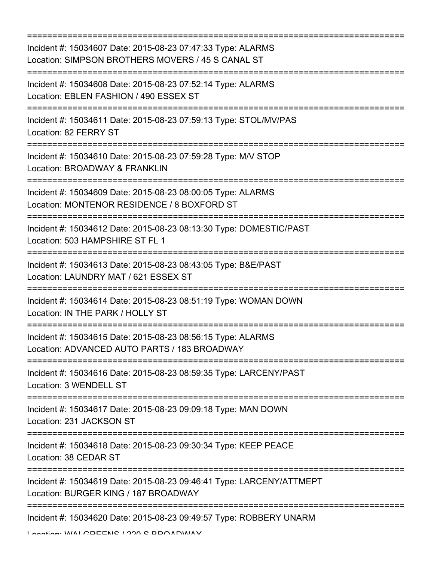| Incident #: 15034607 Date: 2015-08-23 07:47:33 Type: ALARMS<br>Location: SIMPSON BROTHERS MOVERS / 45 S CANAL ST                  |
|-----------------------------------------------------------------------------------------------------------------------------------|
| Incident #: 15034608 Date: 2015-08-23 07:52:14 Type: ALARMS<br>Location: EBLEN FASHION / 490 ESSEX ST                             |
| Incident #: 15034611 Date: 2015-08-23 07:59:13 Type: STOL/MV/PAS<br>Location: 82 FERRY ST<br>:=================================== |
| Incident #: 15034610 Date: 2015-08-23 07:59:28 Type: M/V STOP<br>Location: BROADWAY & FRANKLIN<br>------------                    |
| Incident #: 15034609 Date: 2015-08-23 08:00:05 Type: ALARMS<br>Location: MONTENOR RESIDENCE / 8 BOXFORD ST                        |
| Incident #: 15034612 Date: 2015-08-23 08:13:30 Type: DOMESTIC/PAST<br>Location: 503 HAMPSHIRE ST FL 1                             |
| Incident #: 15034613 Date: 2015-08-23 08:43:05 Type: B&E/PAST<br>Location: LAUNDRY MAT / 621 ESSEX ST                             |
| Incident #: 15034614 Date: 2015-08-23 08:51:19 Type: WOMAN DOWN<br>Location: IN THE PARK / HOLLY ST                               |
| ==============<br>Incident #: 15034615 Date: 2015-08-23 08:56:15 Type: ALARMS<br>Location: ADVANCED AUTO PARTS / 183 BROADWAY     |
| Incident #: 15034616 Date: 2015-08-23 08:59:35 Type: LARCENY/PAST<br>Location: 3 WENDELL ST                                       |
| Incident #: 15034617 Date: 2015-08-23 09:09:18 Type: MAN DOWN<br>Location: 231 JACKSON ST                                         |
| Incident #: 15034618 Date: 2015-08-23 09:30:34 Type: KEEP PEACE<br>Location: 38 CEDAR ST                                          |
| Incident #: 15034619 Date: 2015-08-23 09:46:41 Type: LARCENY/ATTMEPT<br>Location: BURGER KING / 187 BROADWAY                      |
| Incident #: 15034620 Date: 2015-08-23 09:49:57 Type: ROBBERY UNARM                                                                |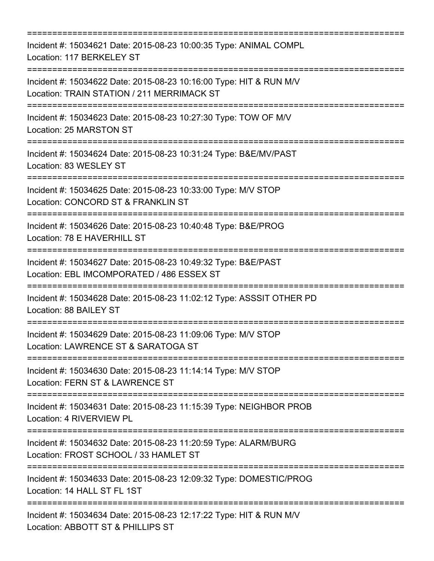=========================================================================== Incident #: 15034621 Date: 2015-08-23 10:00:35 Type: ANIMAL COMPL Location: 117 BERKELEY ST =========================================================================== Incident #: 15034622 Date: 2015-08-23 10:16:00 Type: HIT & RUN M/V Location: TRAIN STATION / 211 MERRIMACK ST =========================================================================== Incident #: 15034623 Date: 2015-08-23 10:27:30 Type: TOW OF M/V Location: 25 MARSTON ST =========================================================================== Incident #: 15034624 Date: 2015-08-23 10:31:24 Type: B&E/MV/PAST Location: 83 WESLEY ST =========================================================================== Incident #: 15034625 Date: 2015-08-23 10:33:00 Type: M/V STOP Location: CONCORD ST & FRANKLIN ST =========================================================================== Incident #: 15034626 Date: 2015-08-23 10:40:48 Type: B&E/PROG Location: 78 E HAVERHILL ST =========================================================================== Incident #: 15034627 Date: 2015-08-23 10:49:32 Type: B&E/PAST Location: EBL IMCOMPORATED / 486 ESSEX ST =========================================================================== Incident #: 15034628 Date: 2015-08-23 11:02:12 Type: ASSSIT OTHER PD Location: 88 BAILEY ST =========================================================================== Incident #: 15034629 Date: 2015-08-23 11:09:06 Type: M/V STOP Location: LAWRENCE ST & SARATOGA ST =========================================================================== Incident #: 15034630 Date: 2015-08-23 11:14:14 Type: M/V STOP Location: FERN ST & LAWRENCE ST =========================================================================== Incident #: 15034631 Date: 2015-08-23 11:15:39 Type: NEIGHBOR PROB Location: 4 RIVERVIEW PL =========================================================================== Incident #: 15034632 Date: 2015-08-23 11:20:59 Type: ALARM/BURG Location: FROST SCHOOL / 33 HAMLET ST =========================================================================== Incident #: 15034633 Date: 2015-08-23 12:09:32 Type: DOMESTIC/PROG Location: 14 HALL ST FL 1ST =========================================================================== Incident #: 15034634 Date: 2015-08-23 12:17:22 Type: HIT & RUN M/V Location: ABBOTT ST & PHILLIPS ST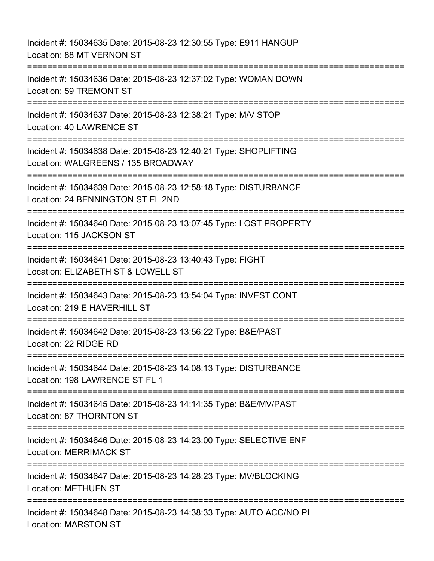Incident #: 15034635 Date: 2015-08-23 12:30:55 Type: E911 HANGUP Location: 88 MT VERNON ST =========================================================================== Incident #: 15034636 Date: 2015-08-23 12:37:02 Type: WOMAN DOWN Location: 59 TREMONT ST =========================================================================== Incident #: 15034637 Date: 2015-08-23 12:38:21 Type: M/V STOP Location: 40 LAWRENCE ST =========================================================================== Incident #: 15034638 Date: 2015-08-23 12:40:21 Type: SHOPLIFTING Location: WALGREENS / 135 BROADWAY =========================================================================== Incident #: 15034639 Date: 2015-08-23 12:58:18 Type: DISTURBANCE Location: 24 BENNINGTON ST FL 2ND =========================================================================== Incident #: 15034640 Date: 2015-08-23 13:07:45 Type: LOST PROPERTY Location: 115 JACKSON ST =========================================================================== Incident #: 15034641 Date: 2015-08-23 13:40:43 Type: FIGHT Location: ELIZABETH ST & LOWELL ST =========================================================================== Incident #: 15034643 Date: 2015-08-23 13:54:04 Type: INVEST CONT Location: 219 E HAVERHILL ST =========================================================================== Incident #: 15034642 Date: 2015-08-23 13:56:22 Type: B&E/PAST Location: 22 RIDGE RD =========================================================================== Incident #: 15034644 Date: 2015-08-23 14:08:13 Type: DISTURBANCE Location: 198 LAWRENCE ST FL 1 =========================================================================== Incident #: 15034645 Date: 2015-08-23 14:14:35 Type: B&E/MV/PAST Location: 87 THORNTON ST =========================================================================== Incident #: 15034646 Date: 2015-08-23 14:23:00 Type: SELECTIVE ENF Location: MERRIMACK ST =========================================================================== Incident #: 15034647 Date: 2015-08-23 14:28:23 Type: MV/BLOCKING Location: METHUEN ST =========================================================================== Incident #: 15034648 Date: 2015-08-23 14:38:33 Type: AUTO ACC/NO PI Location: MARSTON ST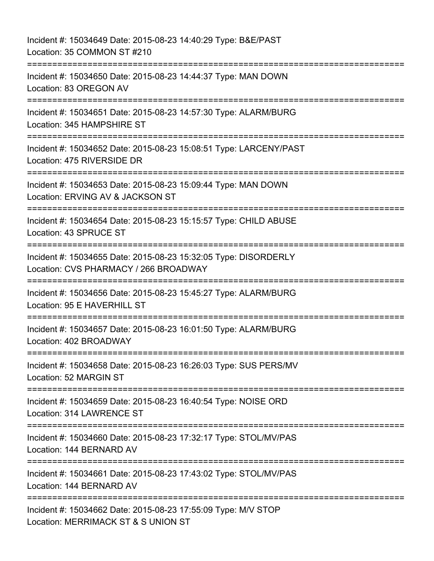Incident #: 15034649 Date: 2015-08-23 14:40:29 Type: B&E/PAST Location: 35 COMMON ST #210 =========================================================================== Incident #: 15034650 Date: 2015-08-23 14:44:37 Type: MAN DOWN Location: 83 OREGON AV =========================================================================== Incident #: 15034651 Date: 2015-08-23 14:57:30 Type: ALARM/BURG Location: 345 HAMPSHIRE ST =========================================================================== Incident #: 15034652 Date: 2015-08-23 15:08:51 Type: LARCENY/PAST Location: 475 RIVERSIDE DR =========================================================================== Incident #: 15034653 Date: 2015-08-23 15:09:44 Type: MAN DOWN Location: ERVING AV & JACKSON ST =========================================================================== Incident #: 15034654 Date: 2015-08-23 15:15:57 Type: CHILD ABUSE Location: 43 SPRUCE ST =========================================================================== Incident #: 15034655 Date: 2015-08-23 15:32:05 Type: DISORDERLY Location: CVS PHARMACY / 266 BROADWAY =========================================================================== Incident #: 15034656 Date: 2015-08-23 15:45:27 Type: ALARM/BURG Location: 95 E HAVERHILL ST ========================= Incident #: 15034657 Date: 2015-08-23 16:01:50 Type: ALARM/BURG Location: 402 BROADWAY =========================================================================== Incident #: 15034658 Date: 2015-08-23 16:26:03 Type: SUS PERS/MV Location: 52 MARGIN ST =========================================================================== Incident #: 15034659 Date: 2015-08-23 16:40:54 Type: NOISE ORD Location: 314 LAWRENCE ST =========================================================================== Incident #: 15034660 Date: 2015-08-23 17:32:17 Type: STOL/MV/PAS Location: 144 BERNARD AV =========================================================================== Incident #: 15034661 Date: 2015-08-23 17:43:02 Type: STOL/MV/PAS Location: 144 BERNARD AV =========================================================================== Incident #: 15034662 Date: 2015-08-23 17:55:09 Type: M/V STOP Location: MERRIMACK ST & S UNION ST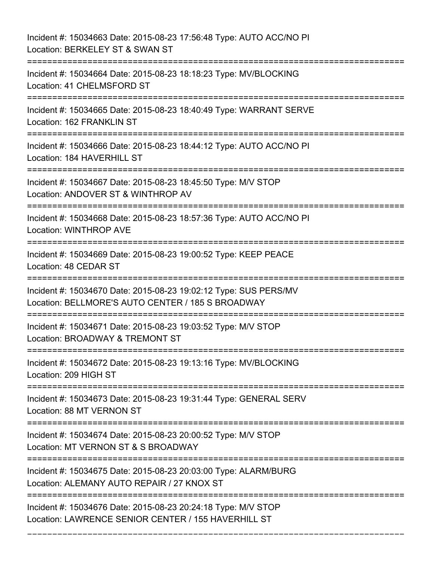Incident #: 15034663 Date: 2015-08-23 17:56:48 Type: AUTO ACC/NO PI Location: BERKELEY ST & SWAN ST =========================================================================== Incident #: 15034664 Date: 2015-08-23 18:18:23 Type: MV/BLOCKING Location: 41 CHELMSFORD ST =========================================================================== Incident #: 15034665 Date: 2015-08-23 18:40:49 Type: WARRANT SERVE Location: 162 FRANKLIN ST =========================================================================== Incident #: 15034666 Date: 2015-08-23 18:44:12 Type: AUTO ACC/NO PI Location: 184 HAVERHILL ST =========================================================================== Incident #: 15034667 Date: 2015-08-23 18:45:50 Type: M/V STOP Location: ANDOVER ST & WINTHROP AV =========================================================================== Incident #: 15034668 Date: 2015-08-23 18:57:36 Type: AUTO ACC/NO PI Location: WINTHROP AVE =========================================================================== Incident #: 15034669 Date: 2015-08-23 19:00:52 Type: KEEP PEACE Location: 48 CEDAR ST =========================================================================== Incident #: 15034670 Date: 2015-08-23 19:02:12 Type: SUS PERS/MV Location: BELLMORE'S AUTO CENTER / 185 S BROADWAY =========================================================================== Incident #: 15034671 Date: 2015-08-23 19:03:52 Type: M/V STOP Location: BROADWAY & TREMONT ST =========================================================================== Incident #: 15034672 Date: 2015-08-23 19:13:16 Type: MV/BLOCKING Location: 209 HIGH ST =========================================================================== Incident #: 15034673 Date: 2015-08-23 19:31:44 Type: GENERAL SERV Location: 88 MT VERNON ST =========================================================================== Incident #: 15034674 Date: 2015-08-23 20:00:52 Type: M/V STOP Location: MT VERNON ST & S BROADWAY =========================================================================== Incident #: 15034675 Date: 2015-08-23 20:03:00 Type: ALARM/BURG Location: ALEMANY AUTO REPAIR / 27 KNOX ST =========================================================================== Incident #: 15034676 Date: 2015-08-23 20:24:18 Type: M/V STOP Location: LAWRENCE SENIOR CENTER / 155 HAVERHILL ST

===========================================================================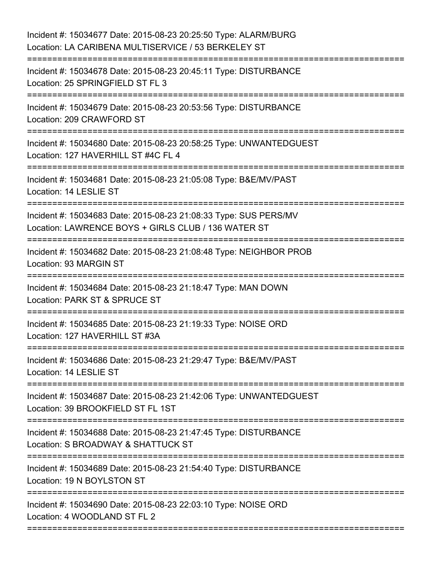| Incident #: 15034677 Date: 2015-08-23 20:25:50 Type: ALARM/BURG<br>Location: LA CARIBENA MULTISERVICE / 53 BERKELEY ST                                |
|-------------------------------------------------------------------------------------------------------------------------------------------------------|
| Incident #: 15034678 Date: 2015-08-23 20:45:11 Type: DISTURBANCE<br>Location: 25 SPRINGFIELD ST FL 3                                                  |
| Incident #: 15034679 Date: 2015-08-23 20:53:56 Type: DISTURBANCE<br>Location: 209 CRAWFORD ST<br>================================                     |
| Incident #: 15034680 Date: 2015-08-23 20:58:25 Type: UNWANTEDGUEST<br>Location: 127 HAVERHILL ST #4C FL 4                                             |
| Incident #: 15034681 Date: 2015-08-23 21:05:08 Type: B&E/MV/PAST<br>Location: 14 LESLIE ST                                                            |
| Incident #: 15034683 Date: 2015-08-23 21:08:33 Type: SUS PERS/MV<br>Location: LAWRENCE BOYS + GIRLS CLUB / 136 WATER ST                               |
| Incident #: 15034682 Date: 2015-08-23 21:08:48 Type: NEIGHBOR PROB<br>Location: 93 MARGIN ST<br>:================================<br>---------------- |
| Incident #: 15034684 Date: 2015-08-23 21:18:47 Type: MAN DOWN<br>Location: PARK ST & SPRUCE ST                                                        |
| Incident #: 15034685 Date: 2015-08-23 21:19:33 Type: NOISE ORD<br>Location: 127 HAVERHILL ST #3A                                                      |
| Incident #: 15034686 Date: 2015-08-23 21:29:47 Type: B&E/MV/PAST<br>Location: 14 LESLIE ST                                                            |
| Incident #: 15034687 Date: 2015-08-23 21:42:06 Type: UNWANTEDGUEST<br>Location: 39 BROOKFIELD ST FL 1ST                                               |
| Incident #: 15034688 Date: 2015-08-23 21:47:45 Type: DISTURBANCE<br>Location: S BROADWAY & SHATTUCK ST                                                |
| Incident #: 15034689 Date: 2015-08-23 21:54:40 Type: DISTURBANCE<br>Location: 19 N BOYLSTON ST                                                        |
| Incident #: 15034690 Date: 2015-08-23 22:03:10 Type: NOISE ORD<br>Location: 4 WOODLAND ST FL 2                                                        |
|                                                                                                                                                       |